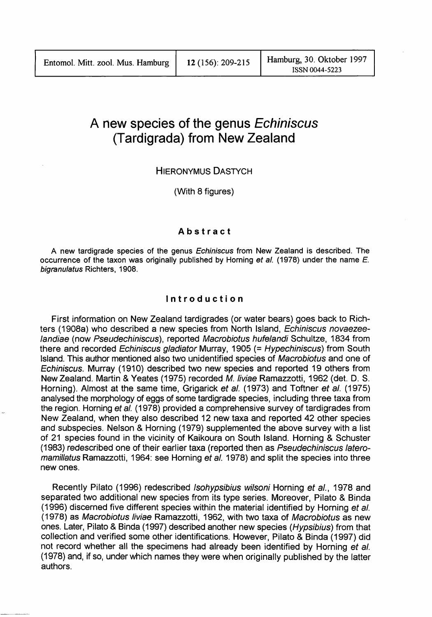# **A new species of the genus Echiniscus (Tardigrada) from New Zealand**

# HIERONYMUS DASTYCH

(With 8 figures)

# **Abstract**

A new tardigrade species of the genus Echiniscus from New Zealand is described. The occurrence of the taxon was originally published by Homing et al. (1978) under the name E. bigranulatus Richters, 1908.

#### **Introduction**

First information on New Zealand tardigrades (or water bears) goes back to Richters (1908a) who described a new species from North Island, Echiniscus novaezeelandiae (now Pseudechiniscus), reported Macrobiotus hufelandi Schultze, 1834 from there and recorded Echiniscus gladiator Murray, 1905 (= Hypechiniscus) from South Island. This author mentioned also two unidentified species of Macrobiotus and one of Echiniscus. Murray (1910) described two new species and reported 19 others from New Zealand. Martin & Yeates (1975) recorded M.liviae Ramazzotti, 1962 (det. D. S. Horning). Almost at the same time, Grigarick et al. (1973) and Toftner et al. (1975) analysed the morphology of eggs of some tardigrade species, including three taxa from the region. Homing et al. (1978) provided a comprehensive survey of tardigrades from New Zealand, when they also described 12 new taxa and reported 42 other species and subspecies. Nelson & Homing (1979) supplemented the above survey with a list of 21 species found in the vicinity of Kaikoura on South Island. Horning & Schuster (1983) redescribed one of their earlier taxa (reported then as Pseudechiniscus lateromamillatus Ramazzotti, 1964: see Horning et al. 1978) and split the species into three new ones.

Recently Pilato (1996) redescribed Isohypsibius wilsoni Horning et al., 1978 and separated two additional new species from its type series. Moreover, Pilato & Binda (1996) discerned five different species within the material identified by Horning et al. (1978) as Macrobiotus liviae Ramazzotti, 1962, with two taxa of Macrobiotus as new ones. Later, Pilato & Binda (1997) described another new species (Hypsibius) from that collection and verified some other identifications. However, Pilato & Binda (1997) did not record whether all the specimens had already been identified by Horning et al. (1978) and, if so, under which names they were when originally published by the latter authors.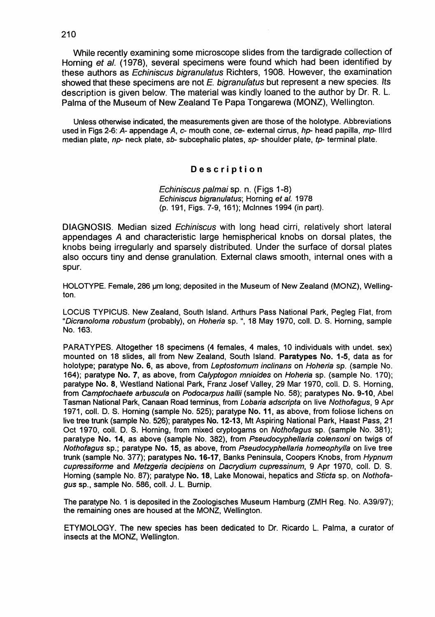While recently examining some microscope slides from the tardigrade collection of Horning et al. (1978), several specimens were found which had been identified by these authors as Echiniscus bigranulatus Richters, 1908. However, the examination showed that these specimens are not  $E$ , bigranulatus but represent a new species. Its description is given below. The material was kindly loaned to the author by Dr. R. L. Palma of the Museum of New Zealand Te Papa Tongarewa (MONZ), Wellington.

Unless otherwise indicated, the measurements given are those of the holotype. Abbreviations used in Figs 2-6: A- appendage A,  $c$ - mouth cone,  $ce$ - external cirrus,  $hp$ - head papilla, mp- IIIrd median plate,  $np$ - neck plate,  $sb$ - subcephalic plates,  $sp$ - shoulder plate,  $tp$ - terminal plate.

## **Description**

Echiniscus palmai sp. n. (Figs 1-8) Echiniscus bigranulatus; Homing et al. 1978 (p. 191, Figs. 7-9,161); Mclnnes 1994 (in part).

DIAGNOSIS. Median sized Echiniscus with long head cirri, relatively short lateral appendages A and characteristic large hemispherical knobs on dorsal plates, the knobs being irregularly and sparsely distributed. Under the surface of dorsal plates also occurs tiny and dense granulation. External claws smooth, internal ones with a spur.

HOLOTYPE. Female, 286 um long; deposited in the Museum of New Zealand (MONZ), Wellington.

LOCUS TYPICUS. New Zealand, South Island, Arthurs Pass National Park, Pegleg Flat, from "Dicranoloma robustum (probably), on Hoheria sp. ", 18 May 1970, coil. D. S. Homing, sample No. 163.

PARATYPES. Altogether 18 specimens (4 females, 4 males, 10 individuals with undet. sex) mounted on 18 slides, all from New Zealand, South Island. Paratypes No. 1-5, data as for holotype; paratype No. 6, as above, from Leptostomum inclinans on Hoheria sp. (sample No. 164); paratype No. 7, as above, from Calyptogon mnioides on Hoheria sp. (sample No. 170); paratype No. 8, Westiand National Park, Franz Josef Valley, 29 Mar 1970, coil. D. S. Homing, from Camptochaete arbuscula on Podocarpus hallii (sample No. 58); paratypes No. 9-10, Abel Tasman National Park, Canaan Road terminus, from Lobaria adscripta on live Nothofagus, 9 Apr 1971, coil. D. S. Homing (sample No. 525); paratype No. **11,** as above, from foliose lichens on live tree trunk (sample No. 526); paratypes No. 12-13, Mt Aspiring National Park, Haast Pass, 21 Oct 1970, coil. D. S. Homing, from mixed cryptogams on Nothofagus sp. (sample No. 381); paratype No. 14, as above (sample No. 382), from Pseudocyphellaria colensoni on twigs of Nothofagus sp.; paratype No. 15, as above, from Pseudocyphellaria homeophylla on live tree trunk (sample No. 377); paratypes No. 16-17, Banks Peninsula, Coopers Knobs, from Hypnum cupressiforme and Metzgeria decipiens on Dacrydium cupressinum, 9 Apr 1970, coil. D. S. Homing (sample No. 87); paratype No. 18, Lake Monowai, hepatics and Sticta sp. on Nothofagus sp., sample No. 586, coli. J. L. Bumip.

The paratype No. 1 is deposited in the Zoologisches Museum Hamburg (ZMH Reg. No. A39/97); the remaining ones are housed at the MONZ, Wellington.

ETYMOLOGY. The new species has been dedicated to Dr. Ricardo L. Palma, a curator of insects at the MONZ, Wellington.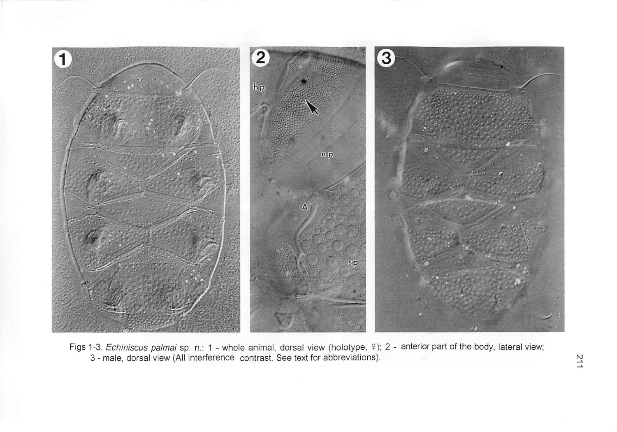

Figs 1-3. Echiniscus palmai sp. n.: 1 - whole animal, dorsal view (holotype, º); 2 - anterior part of the body, lateral view; 3 - male, dorsal view (All interference contrast. See text for abbreviations). ~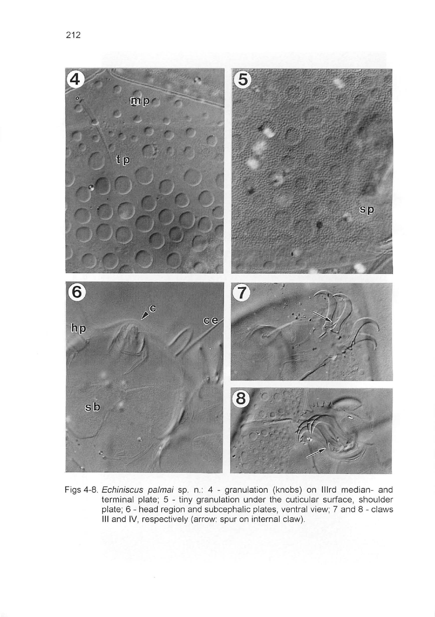

Figs 4-8. Echiniscus palmai sp. n.: 4 - granulation (knobs) on Illrd median- and terminal plate; 5 - tiny granulation under the cuticular surface, shoulder plate; 6 - head region and subcephalic plates, ventral view; 7 and 8 - claws **III and IV**, respectively (arrow: spur on internal claw).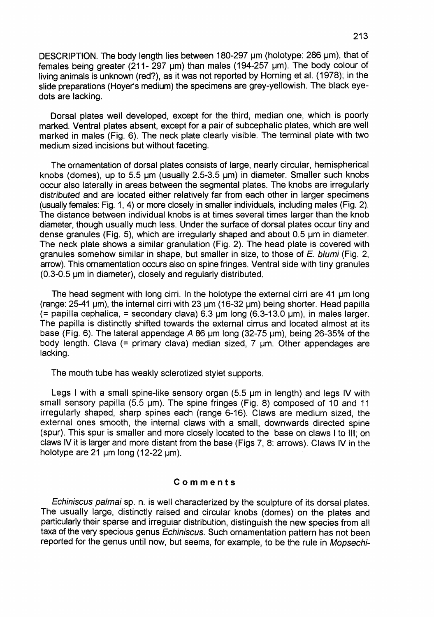DESCRIPTION. The body length lies between 180-297 um (holotype: 286 um), that of females being greater (211- 297  $\mu$ m) than males (194-257  $\mu$ m). The body colour of living animals is unknown (red?), as it was not reported by Horning et al. (1978); in the slide preparations (Hoyer's medium) the specimens are grey-yellowish. The black eyedots are lacking.

Dorsal plates well developed, except for the third, median one, which is poorly marked. Ventral plates absent, except for a pair of subcephalic plates, which are well marked in males (Fig. 6). The neck plate clearly visible. The terminal plate with two medium sized incisions but without faceting.

The ornamentation of dorsal plates consists of large, nearly circular, hemispherical knobs (domes), up to 5.5  $\mu$ m (usually 2.5-3.5  $\mu$ m) in diameter. Smaller such knobs occur also laterally in areas between the segmental plates. The knobs are irregularly distributed and are located either relatively far from each other in larger specimens (usually females: Fig. 1,4) or more closely in smaller individuals, including males (Fig. 2). The distance between individual knobs is at times several times larger than the knob diameter, though usually much less. Under the surface of dorsal plates occur tiny and dense granules (Fig. 5), which are irregularly shaped and about  $0.5 \mu m$  in diameter. The neck plate shows a similar granulation (Fig. 2). The head plate is covered with granules somehow similar in shape, but smaller in size, to those of *E.* blumi (Fig. 2, arrow). This ornamentation occurs also on spine fringes. Ventral side with tiny granules (0.3-0.5 um in diameter), closely and regularly distributed.

The head segment with long cirri. In the holotype the external cirri are  $41 \mu m$  long (range: 25-41 um), the internal cirri with 23 um (16-32 um) being shorter. Head papilla  $(=$  papilla cephalica,  $=$  secondary clava) 6.3  $\mu$ m long (6.3-13.0  $\mu$ m), in males larger. The papilla is distinctly shifted towards the external cirrus and located almost at its base (Fig. 6). The lateral appendage A 86  $\mu$ m long (32-75  $\mu$ m), being 26-35% of the body length. Clava (= primary clava) median sized,  $7 \mu m$ . Other appendages are lacking.

The mouth tube has weakly sclerotized stylet supports.

Legs I with a small spine-like sensory organ  $(5.5 \mu m$  in length) and legs IV with small sensory papilla  $(5.5 \text{ }\mu\text{m})$ . The spine fringes (Fig. 8) composed of 10 and 11 irregularly shaped, sharp spines each (range 6-16). Claws are medium sized, the external ones smooth, the internal claws with a small, downwards directed spine (spur). This spur is smaller and more closely located to the base on claws I to Ill; on claws IV it is larger and more distant from the base (Figs 7, 8: arrows). Claws IV in the holotype are 21  $\mu$ m long (12-22  $\mu$ m).

#### **Comments**

Echiniscus palmai sp. n. is well characterized by the sculpture of its dorsal plates. The usually large, distinctly raised and circular knobs (domes) on the plates and particularly their sparse and irreguiar distribution, distinguish the new species from all taxa of the very specious genus Echiniscus. Such ornamentation pattern has not been reported for the genus until now, but seems, for example, to be the rule in Mopsechi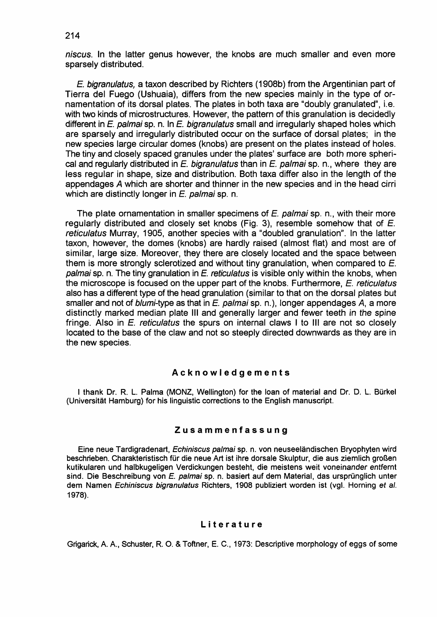niscus. In the latter genus however, the knobs are much smaller and even more sparsely distributed.

*E.* bigranulatus, a taxon described by Richters (1908b) from the Argentinian part of Tierra del Fuego (Ushuaia), differs from the new species mainly in the type of ornamentation of its dorsal plates. The plates in both taxa are "doubly granulated", i.e. with two kinds of microstructures. However, the pattern of this granulation is decidedly different in *E.* palmai sp. n. In *E.* bigranulatus small and irregularly shaped holes which are sparsely and irregularly distributed occur on the surface of dorsal plates; in the new species large circular domes (knobs) are present on the plates instead of holes. The tiny and closely spaced granules under the plates' surface are both more spherical and regularly distributed in *E.* bigranulatus than in *E.* palmai sp. n., where they are less regular in shape, size and distribution. Both taxa differ also in the length of the appendages A which are shorter and thinner in the new species and in the head cirri which are distinctly longer in *E. palmai* sp. n.

The plate ornamentation in smaller specimens of *E.* palmai sp. n., with their more regularly distributed and closely set knobs (Fig. 3), resemble somehow that of *E.*  reticulatus Murray, 1905, another species with a "doubled granulation". In the latter taxon, however, the domes (knobs) are hardly raised (almost flat) and most are of similar, large size. Moreover, they there are closely located and the space between them is more strongly sclerotized and without tiny granulation, when compared to *E.*  palmai sp. n. The tiny granulation in *E.* reticulatus is visible only within the knobs, when the microscope is focused on the upper part of the knobs. Furthermore, *E.* reticulatus also has a different type of the head granulation (similar to that on the dorsal plates but smaller and not of blumi-type as that in *E.* palmai sp. n.), longer appendages A, a more distinctly marked median plate III and generally larger and fewer teeth in the spine fringe. Also in *E.* reticulatus the spurs on internal claws I to III are not so closely located to the base of the claw and not so steeply directed downwards as they are in the new species.

#### Acknowledgements

I thank Dr. R. L. Palma (MONZ, Wellington) for the loan of material and Dr. D. L. Bürkel (Universitat Hamburg) for his linguistic corrections to the English manuscript.

# Zusammenfassung

Eine neue Tardigradenart, Echiniscus palmai sp. n. von neuseeländischen Bryophyten wird beschrieben. Charakteristisch für die neue Art ist ihre dorsale Skulptur, die aus ziemlich großen kutikularen und halbkugeligen Verdickungen besteht, die meistens weit voneinander entfernt sind. Die Beschreibung von E. palmai sp. n. basiert auf dem Material, das ursprünglich unter dem Namen Echiniscus bigranulatus Richters, 1908 publiziert worden ist (vgl. Horning et al. 1978).

#### Literature

Grigarick, A. A., Schuster, R. O. & Toftner, E. C., 1973: Descriptive morphology of eggs of some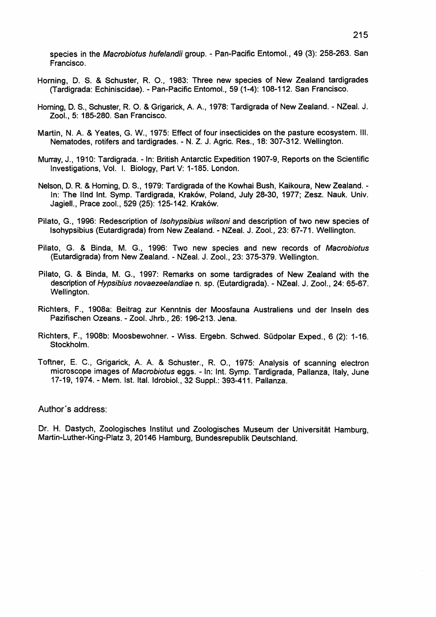species in the Macrobiotus hufelandii group. - Pan-Pacific Entomol., 49 (3): 258-263. San Francisco.

- Homing, O. S. & Schuster, R. 0., 1983: Three new species of New Zealand tardigrades (Tardigrada: Echiniscidae). - Pan-Pacific Entomol., 59 (1-4): 108-112. San Francisco.
- Homing, O. S., Schuster, R. O. & Grigarick, A A, 1978: Tardigrada of New Zealand. NZeal. J. Zool., 5: 185-280. San Francisco.
- Martin, N. A. & Yeates, G. W., 1975: Effect of four insecticides on the pasture ecosystem. Ill. Nematodes, rotifers and tardigrades. - N. Z. J. Agric. Res., 18: 307-312. Wellington.
- Murray, J., 1910: Tardigrada. In: British Antarctic Expedition 1907-9, Reports on the Scientific Investigations, Vol. I. Biology, Part V: 1-185. London.
- Nelson, O. R. & Homing, O. S., 1979: Tardigrada of the Kowhai Bush, Kaikoura, New Zealand. In: The IInd Int. Symp. Tardigrada, Kraków, Poland, July 28-30, 1977; Zesz. Nauk. Univ. Jagiell., Prace zool., 529 (25): 125-142. Krak6w.
- Pilato, G., 1996: Redescription of Isohypsibius wilsoni and description of two new species of Isohypsibius (Eutardigrada) from New Zealand. - NZeal. J. Zool., 23: 67-71. Wellington.
- Pilato, G. & Binda, M. G., 1996: Two new species and new records of Macrobiotus (Eutardigrada) from New Zealand. - NZeal. J. Zool., 23: 375-379. Wellington.
- Pilato, G. & Binda, M. G., 1997: Remarks on some tardigrades of New Zealand with the description of Hypsibius novaezeelandiae n. sp. (Eutardigrada). - NZeal. J. Zool., 24: 65-67. Wellington.
- Richters, F., 1908a: Beitrag zur Kenntnis der Moosfauna Australiens und der Inseln des Pazifischen Ozeans. - Zool. Jhrb., 26: 196-213. Jena.
- Richters, F., 1908b: Moosbewohner. Wiss. Ergebn. Schwed. Sudpolar Exped., 6 (2): 1-16. Stockholm.
- Toftner, E. C., Grigarick, A A. & Schuster., R. 0., 1975: Analysis of scanning electron microscope images of Macrobiotus eggs. - In: Int. Symp. Tardigrada, Pallanza, Italy, June 17-19, 1974. - Mem. Ist. Ital. Idrobiol., 32 Suppl.: 393-411. Pallanza.

#### Author's address:

Or. H. Oastych, Zoologisches Institut und Zoologisches Museum der Universitat Hamburg, Martin-Luther-King-Platz 3, 20146 Hamburg, Bundesrepublik Oeutschland.